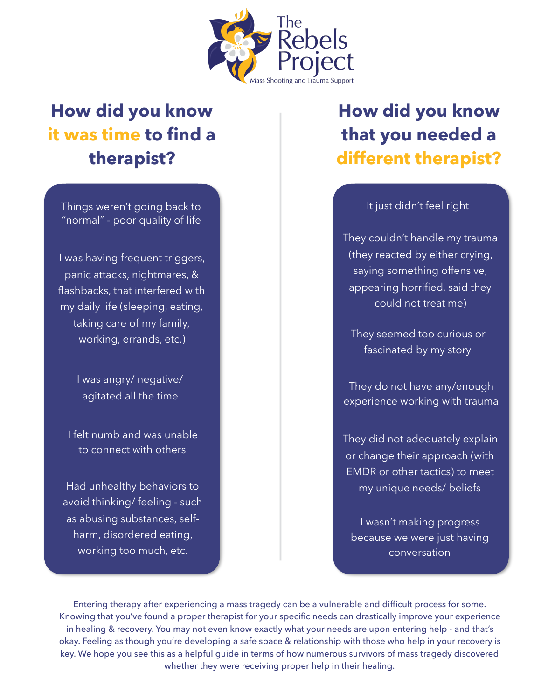

## **How did you know it was time to find a therapist?**

Things weren't going back to "normal" - poor quality of life

I was having frequent triggers, panic attacks, nightmares, & flashbacks, that interfered with my daily life (sleeping, eating, taking care of my family, working, errands, etc.)

> I was angry/ negative/ agitated all the time

I felt numb and was unable to connect with others

Had unhealthy behaviors to avoid thinking/ feeling - such as abusing substances, selfharm, disordered eating, working too much, etc.

## **How did you know that you needed a different therapist?**

It just didn't feel right

They couldn't handle my trauma (they reacted by either crying, saying something offensive, appearing horrified, said they could not treat me)

They seemed too curious or fascinated by my story

They do not have any/enough experience working with trauma

They did not adequately explain or change their approach (with EMDR or other tactics) to meet my unique needs/ beliefs

I wasn't making progress because we were just having conversation

Entering therapy after experiencing a mass tragedy can be a vulnerable and difficult process for some. Knowing that you've found a proper therapist for your specific needs can drastically improve your experience in healing & recovery. You may not even know exactly what your needs are upon entering help - and that's okay. Feeling as though you're developing a safe space & relationship with those who help in your recovery is key. We hope you see this as a helpful guide in terms of how numerous survivors of mass tragedy discovered whether they were receiving proper help in their healing.